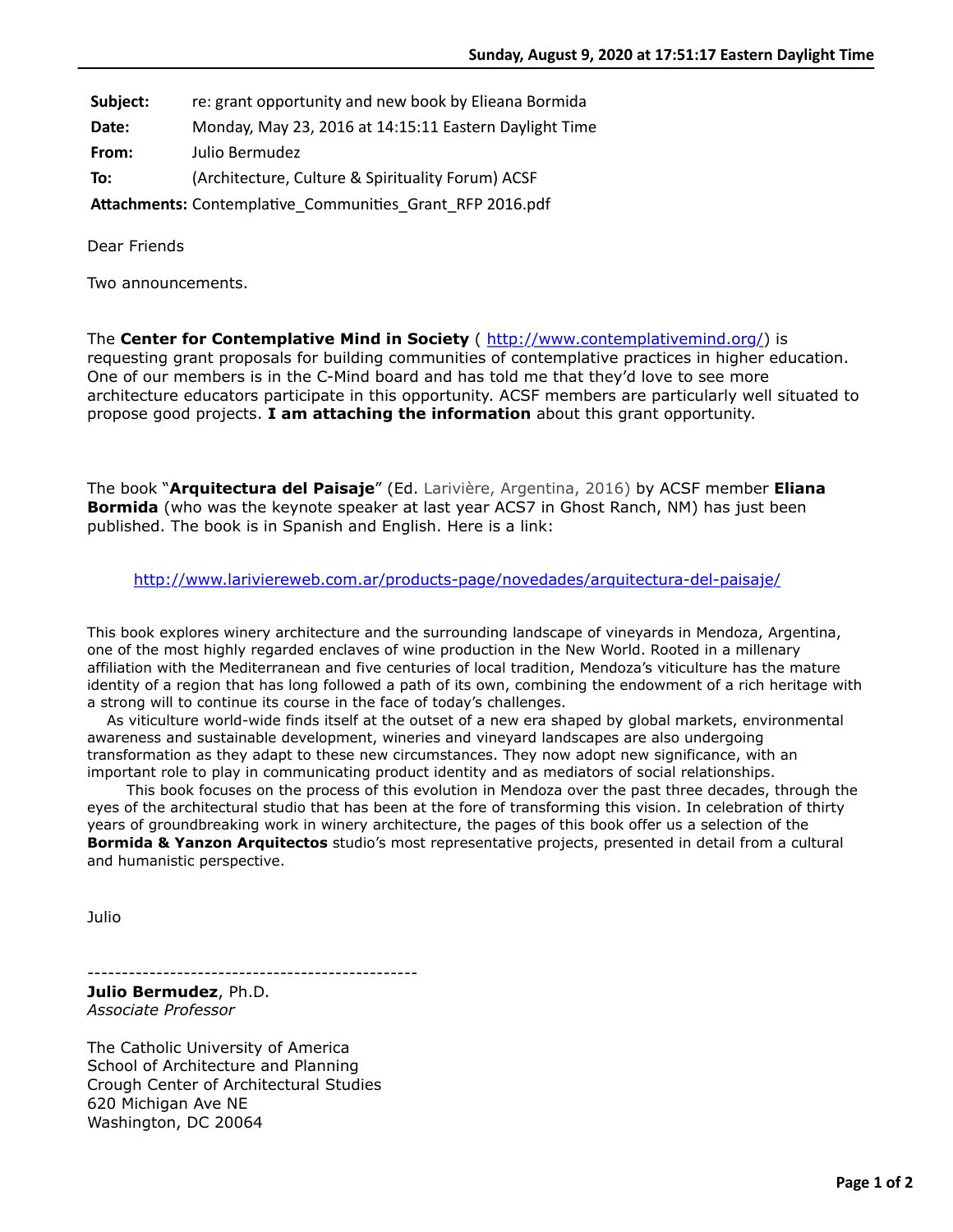- **Subject:** re: grant opportunity and new book by Elieana Bormida
- **Date:** Monday, May 23, 2016 at 14:15:11 Eastern Daylight Time

**From:** Julio Bermudez

**To:** (Architecture, Culture & Spirituality Forum) ACSF

Attachments: Contemplative\_Communities\_Grant\_RFP 2016.pdf

Dear Friends

Two announcements.

The **Center for Contemplative Mind in Society** ( [http://www.contemplativemind.org/\)](http://www.contemplativemind.org/) is requesting grant proposals for building communities of contemplative practices in higher education. One of our members is in the C-Mind board and has told me that they'd love to see more architecture educators participate in this opportunity. ACSF members are particularly well situated to propose good projects. **I am attaching the information** about this grant opportunity.

The book "**Arquitectura del Paisaje**" (Ed. Larivière, Argentina, 2016) by ACSF member **Eliana Bormida** (who was the keynote speaker at last year ACS7 in Ghost Ranch, NM) has just been published. The book is in Spanish and English. Here is a link:

<http://www.lariviereweb.com.ar/products-page/novedades/arquitectura-del-paisaje/>

This book explores winery architecture and the surrounding landscape of vineyards in Mendoza, Argentina, one of the most highly regarded enclaves of wine production in the New World. Rooted in a millenary affiliation with the Mediterranean and five centuries of local tradition, Mendoza's viticulture has the mature identity of a region that has long followed a path of its own, combining the endowment of a rich heritage with a strong will to continue its course in the face of today's challenges.

 As viticulture world-wide finds itself at the outset of a new era shaped by global markets, environmental awareness and sustainable development, wineries and vineyard landscapes are also undergoing transformation as they adapt to these new circumstances. They now adopt new significance, with an important role to play in communicating product identity and as mediators of social relationships.

 This book focuses on the process of this evolution in Mendoza over the past three decades, through the eyes of the architectural studio that has been at the fore of transforming this vision. In celebration of thirty years of groundbreaking work in winery architecture, the pages of this book offer us a selection of the **Bormida & Yanzon Arquitectos** studio's most representative projects, presented in detail from a cultural and humanistic perspective.

Julio

------------------------------------------------

**Julio Bermudez**, Ph.D. *Associate Professor*

The Catholic University of America School of Architecture and Planning Crough Center of Architectural Studies 620 Michigan Ave NE Washington, DC 20064